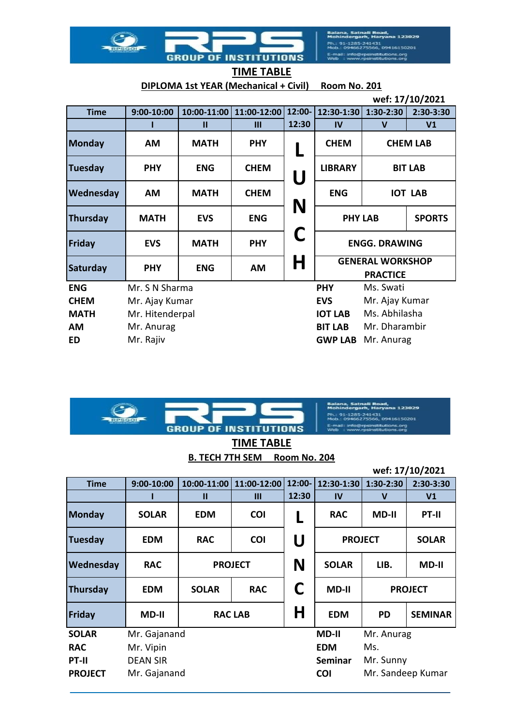Balana, Satnali Road,<br>Mohindergarh, Haryana 123029 Ph.: 91-1285-241431<br>Mob.: 09466275566, 09416150201 E-mail: info@rpsinstitutions.org<br>Web : www.rpsinstitutions.org

**DIPLOMA 1st YEAR (Mechanical + Civil) Room No. 201**

**GROUP OF INSTITUTIONS** 

1

|                 | wef: 17/10/2021 |               |                |        |                                  |                                            |                |  |
|-----------------|-----------------|---------------|----------------|--------|----------------------------------|--------------------------------------------|----------------|--|
| <b>Time</b>     | $9:00-10:00$    | $10:00-11:00$ | 11:00-12:00    | 12:00- | 12:30-1:30                       | $1:30-2:30$                                | 2:30-3:30      |  |
|                 |                 | Ш             | $\mathbf{III}$ | 12:30  | $\mathbf{I}$                     | $\mathbf v$                                | V <sub>1</sub> |  |
| <b>Monday</b>   | <b>AM</b>       | <b>MATH</b>   | <b>PHY</b>     |        | <b>CHEM</b><br><b>CHEM LAB</b>   |                                            |                |  |
| <b>Tuesday</b>  | <b>PHY</b>      | <b>ENG</b>    | <b>CHEM</b>    | U      | <b>LIBRARY</b><br><b>BIT LAB</b> |                                            |                |  |
| Wednesday       | AM              | <b>MATH</b>   | <b>CHEM</b>    | N      | <b>ENG</b><br><b>IOT LAB</b>     |                                            |                |  |
| <b>Thursday</b> | <b>MATH</b>     | <b>EVS</b>    | <b>ENG</b>     |        | <b>SPORTS</b><br><b>PHY LAB</b>  |                                            |                |  |
| Friday          | <b>EVS</b>      | <b>MATH</b>   | <b>PHY</b>     | C      | <b>ENGG. DRAWING</b>             |                                            |                |  |
| Saturday        | <b>PHY</b>      | <b>ENG</b>    | AM             | H      |                                  | <b>GENERAL WORKSHOP</b><br><b>PRACTICE</b> |                |  |
| <b>ENG</b>      | Mr. S N Sharma  |               |                |        | Ms. Swati<br><b>PHY</b>          |                                            |                |  |
| <b>CHEM</b>     | Mr. Ajay Kumar  |               |                |        | <b>EVS</b>                       | Mr. Ajay Kumar                             |                |  |
| <b>MATH</b>     | Mr. Hitenderpal |               |                |        | <b>IOT LAB</b>                   | Ms. Abhilasha                              |                |  |
| AM              | Mr. Anurag      |               | <b>BIT LAB</b> |        |                                  | Mr. Dharambir                              |                |  |
| ED              | Mr. Rajiv       |               |                |        | <b>GWP LAB</b><br>Mr. Anurag     |                                            |                |  |



nali Road,<br>ırh, Haryana 123029 241431<br>75566, 09416150201 .org

**TIME TABLE B. TECH 7TH SEM Room No. 204**

**wef: 17/10/2021**

| <b>Time</b>     | $9:00-10:00$    |              | 10:00-11:00 11:00-12:00 | 12:00- | 12:30-1:30     | 1:30-2:30         | 2:30-3:30      |  |
|-----------------|-----------------|--------------|-------------------------|--------|----------------|-------------------|----------------|--|
|                 |                 | $\mathbf{u}$ | Ш                       | 12:30  | IV             | $\mathsf{V}$      | V <sub>1</sub> |  |
| <b>Monday</b>   | <b>SOLAR</b>    | <b>EDM</b>   | <b>COI</b>              |        | <b>RAC</b>     | <b>MD-II</b>      | PT-II          |  |
| <b>Tuesday</b>  | <b>EDM</b>      | <b>RAC</b>   | <b>COI</b>              | U      | <b>PROJECT</b> | <b>SOLAR</b>      |                |  |
| Wednesday       | <b>RAC</b>      |              | <b>PROJECT</b>          | N      | <b>SOLAR</b>   | LIB.              | <b>MD-II</b>   |  |
| <b>Thursday</b> | <b>EDM</b>      | <b>SOLAR</b> | <b>RAC</b>              | C      | <b>MD-II</b>   | <b>PROJECT</b>    |                |  |
| Friday          | <b>MD-II</b>    |              | <b>RAC LAB</b>          | Η      | <b>EDM</b>     | <b>PD</b>         | <b>SEMINAR</b> |  |
| <b>SOLAR</b>    | Mr. Gajanand    |              |                         |        | <b>MD-II</b>   | Mr. Anurag        |                |  |
| <b>RAC</b>      | Mr. Vipin       |              |                         |        | <b>EDM</b>     | Ms.               |                |  |
| PT-II           | <b>DEAN SIR</b> |              |                         |        | <b>Seminar</b> | Mr. Sunny         |                |  |
| <b>PROJECT</b>  | Mr. Gajanand    |              |                         |        | <b>COI</b>     | Mr. Sandeep Kumar |                |  |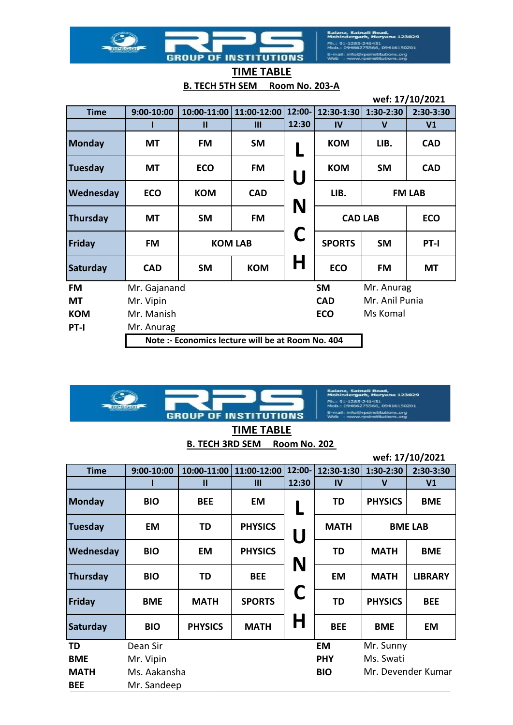Balana, Satnali Road,<br>Mohindergarh, Haryana 123029 Ph.: 91-1285-241431<br>Mob.: 09466275566, 09416150201 E-mail: info@rpsinstitutions.org<br>Web : www.rpsinstitutions.org

| <b>GROUP OF INSTITUTIONS</b> |                   |
|------------------------------|-------------------|
|                              | <b>TIME TABLE</b> |

1

 $\circ$ 

1

 $\circ$ 

**B. TECH 5TH SEM Room No. 203-A**

|                 |                                                   |              |                |          |                              |             | wef: 17/10/2021 |
|-----------------|---------------------------------------------------|--------------|----------------|----------|------------------------------|-------------|-----------------|
| <b>Time</b>     | $9:00-10:00$                                      | 10:00-11:00  | 11:00-12:00    | $12:00-$ | 12:30-1:30                   | $1:30-2:30$ | 2:30-3:30       |
|                 |                                                   | $\mathbf{u}$ | Ш              | 12:30    | IV                           | $\mathbf v$ | V <sub>1</sub>  |
| <b>Monday</b>   | MT                                                | <b>FM</b>    | <b>SM</b>      |          | <b>KOM</b>                   | LIB.        | <b>CAD</b>      |
| Tuesday         | MT                                                | <b>ECO</b>   | FM             | U        | <b>KOM</b>                   | <b>SM</b>   | <b>CAD</b>      |
| Wednesday       | <b>ECO</b>                                        | <b>KOM</b>   | <b>CAD</b>     | N        | LIB.                         |             | <b>FM LAB</b>   |
| <b>Thursday</b> | MT                                                | <b>SM</b>    | <b>FM</b>      |          | <b>CAD LAB</b>               |             | <b>ECO</b>      |
| <b>Friday</b>   | FM                                                |              | <b>KOM LAB</b> | C        | <b>SPORTS</b><br><b>SM</b>   |             | PT-I            |
| Saturday        | <b>CAD</b>                                        | <b>SM</b>    | <b>KOM</b>     | H        | <b>ECO</b>                   | <b>FM</b>   | <b>MT</b>       |
| FM              | Mr. Gajanand                                      |              |                |          | <b>SM</b>                    | Mr. Anurag  |                 |
| <b>MT</b>       | Mr. Vipin                                         |              |                |          | Mr. Anil Punia<br><b>CAD</b> |             |                 |
| <b>KOM</b>      | Mr. Manish                                        |              |                |          | <b>ECO</b>                   | Ms Komal    |                 |
| PT-I            | Mr. Anurag                                        |              |                |          |                              |             |                 |
|                 | Note :- Economics lecture will be at Room No. 404 |              |                |          |                              |             |                 |



**TIME TABLE**

|  | B. TECH 3RD SEM Room No. 202 |
|--|------------------------------|
|  |                              |

|                 |              |                |                |          |              |                | wef: 17/10/2021    |
|-----------------|--------------|----------------|----------------|----------|--------------|----------------|--------------------|
| <b>Time</b>     | $9:00-10:00$ | $10:00-11:00$  | 11:00-12:00    | $12:00-$ | $12:30-1:30$ | $1:30-2:30$    | 2:30-3:30          |
|                 |              | $\mathbf{u}$   | III            | 12:30    | IV           | $\mathbf v$    | V <sub>1</sub>     |
| <b>Monday</b>   | <b>BIO</b>   | <b>BEE</b>     | <b>EM</b>      |          | <b>TD</b>    | <b>PHYSICS</b> | <b>BME</b>         |
| Tuesday         | <b>EM</b>    | TD             | <b>PHYSICS</b> | U        | <b>MATH</b>  |                | <b>BME LAB</b>     |
| Wednesday       | <b>BIO</b>   | <b>EM</b>      | <b>PHYSICS</b> |          | TD           | <b>MATH</b>    | <b>BME</b>         |
| <b>Thursday</b> | <b>BIO</b>   | <b>TD</b>      | <b>BEE</b>     | N        | <b>EM</b>    | <b>MATH</b>    | <b>LIBRARY</b>     |
| <b>Friday</b>   | <b>BME</b>   | <b>MATH</b>    | <b>SPORTS</b>  | C        | <b>TD</b>    | <b>PHYSICS</b> | <b>BEE</b>         |
| Saturday        | <b>BIO</b>   | <b>PHYSICS</b> | <b>MATH</b>    | Η        | <b>BEE</b>   | <b>BME</b>     | <b>EM</b>          |
| <b>TD</b>       | Dean Sir     |                |                |          | EM           | Mr. Sunny      |                    |
| <b>BME</b>      | Mr. Vipin    |                |                |          | <b>PHY</b>   | Ms. Swati      |                    |
| <b>MATH</b>     | Ms. Aakansha |                |                |          | <b>BIO</b>   |                | Mr. Devender Kumar |
| <b>BEE</b>      | Mr. Sandeep  |                |                |          |              |                |                    |